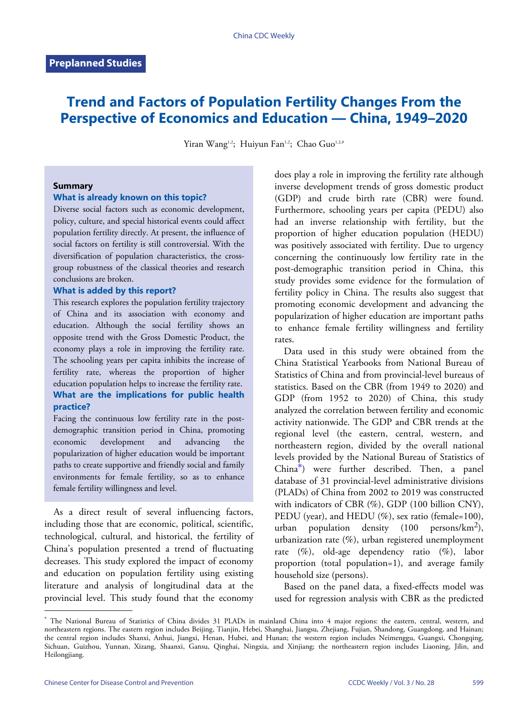# **Trend and Factors of Population Fertility Changes From the Perspective of Economics and Education — China, 1949–2020**

Yiran Wang<sup>1,2</sup>; Huiyun Fan<sup>1,2</sup>; Chao Guo<sup>1,2,#</sup>

#### **Summary**

#### **What is already known on this topic?**

Diverse social factors such as economic development, policy, culture, and special historical events could affect population fertility directly. At present, the influence of social factors on fertility is still controversial. With the diversification of population characteristics, the crossgroup robustness of the classical theories and research conclusions are broken.

#### **What is added by this report?**

This research explores the population fertility trajectory of China and its association with economy and education. Although the social fertility shows an opposite trend with the Gross Domestic Product, the economy plays a role in improving the fertility rate. The schooling years per capita inhibits the increase of fertility rate, whereas the proportion of higher education population helps to increase the fertility rate. **What are the implications for public health practice?**

Facing the continuous low fertility rate in the postdemographic transition period in China, promoting economic development and advancing the popularization of higher education would be important paths to create supportive and friendly social and family environments for female fertility, so as to enhance female fertility willingness and level.

As a direct result of several influencing factors, including those that are economic, political, scientific, technological, cultural, and historical, the fertility of China's population presented a trend of fluctuating decreases. This study explored the impact of economy and education on population fertility using existing literature and analysis of longitudinal data at the provincial level. This study found that the economy

does play a role in improving the fertility rate although inverse development trends of gross domestic product (GDP) and crude birth rate (CBR) were found. Furthermore, schooling years per capita (PEDU) also had an inverse relationship with fertility, but the proportion of higher education population (HEDU) was positively associated with fertility. Due to urgency concerning the continuously low fertility rate in the post-demographic transition period in China, this study provides some evidence for the formulation of fertility policy in China. The results also suggest that promoting economic development and advancing the popularization of higher education are important paths to enhance female fertility willingness and fertility rates.

Data used in this study were obtained from the China Statistical Yearbooks from National Bureau of Statistics of China and from provincial-level bureaus of statistics. Based on the CBR (from 1949 to 2020) and GDP (from 1952 to 2020) of China, this study analyzed the correlation between fertility and economic activity nationwide. The GDP and CBR trends at the regional level (the eastern, central, western, and northeastern region, divided by the overall national levels provided by the National Bureau of Statistics of China\* ) were further described. Then, a panel database of 31 provincial-level administrative divisions (PLADs) of China from 2002 to 2019 was constructed with indicators of CBR (%), GDP (100 billion CNY), PEDU (year), and HEDU (%), sex ratio (female=100), urban population density (100 persons/ $\text{km}^2$ ), urbanization rate (%), urban registered unemployment rate (%), old-age dependency ratio (%), labor proportion (total population=1), and average family household size (persons).

[Based on](#page-1-0) the panel data, a fixed-effects model was used for regression analysis with CBR as the predicted

<sup>\*</sup> The National Bureau of Statistics of China divides 31 PLADs in mainland China into 4 major regions: the eastern, central, western, and northeastern regions. The eastern region includes Beijing, Tianjin, Hebei, Shanghai, Jiangsu, Zhejiang, Fujian, Shandong, Guangdong, and Hainan; the central region includes Shanxi, Anhui, Jiangxi, Henan, Hubei, and Hunan; the weste[rn region i](#page-2-0)ncludes Neimenggu, Guangxi, Chongqing, Sichuan, Guizhou, Yunnan, Xizang, Shaanxi, Gansu, Qinghai, Ningxia, and Xinjiang; the northeastern region includes Liaoning, Jilin, and Heilongjiang.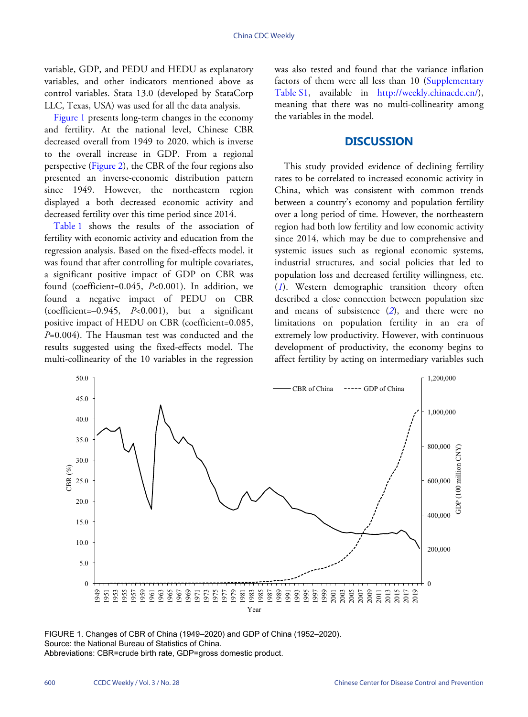variable, GDP, and PEDU and HEDU as explanatory variables, and other indicators mentioned above as control variables. Stata 13.0 (developed by StataCorp LLC, Texas, USA) was used for all the data analysis.

[Figure 1](#page-1-0) presents long-term changes in the economy and fertility. At the national level, Chinese CBR decreased overall from 1949 to 2020, which is inverse to the ove[rall incre](#page-2-0)ase in GDP. From a regional perspective [\(Figure 2\)](#page-2-0), the CBR of the four regions also presented an inverse-economic distribution pattern since 1949. However, the northeastern region displayed a both decreased economic activity and de[creased](#page-2-1) fertility over this time period since 2014.

[Table 1](#page-2-1) shows the results of the association of fertility with economic activity and education from the regression analysis. Based on the fixed-effects model, it was found that after controlling for multiple covariates, a significant positive impact of GDP on CBR was found (coefficient=0.045, *P*<0.001). In addition, we found a negative impact of PEDU on CBR (coefficient=–0.945, *P*<0.001), but a significant positive impact of HEDU on CBR (coefficient=0.085, *P*=0.004). The Hausman test was conducted and the results suggested using the fixed-effects model. The multi-collinearity of the 10 variables in the regression

was also tested and found that the variance inflation factors of them were all less than 10([Supplementary](Supplementary Table S1) [Table S1](Supplementary Table S1), available in [http://weekly.chinacdc.cn/\)](http://weekly.chinacdc.cn/), meaning that there was no multi-collinearity among the variables in the model.

### **DISCUSSION**

This study provided evidence of declining fertility rates to be correlated to increased economic activity in China, which was consistent with common trends between a country's economy and population fertility over a long period of time. However, the northeastern region had both low fertility and low economic activity since 2014, which may be due to comprehensive and systemic issues such as regional economic systems, industrial structures, and social policies that led to population loss and decreased fertility willingness, etc. (*[1](#page-4-0)*). Western demographic transition theory often described a close connection between population size and means of subsistence (*[2](#page-4-1)*), and there were no limitations on population fertility in an era of extremely low productivity. However, with continuous development of productivity, the economy begins to affect fertility by acting on intermediary variables such

<span id="page-1-0"></span>

FIGURE 1. Changes of CBR of China (1949–2020) and GDP of China (1952–2020). Source: the National Bureau of Statistics of China. Abbreviations: CBR=crude birth rate, GDP=gross domestic product.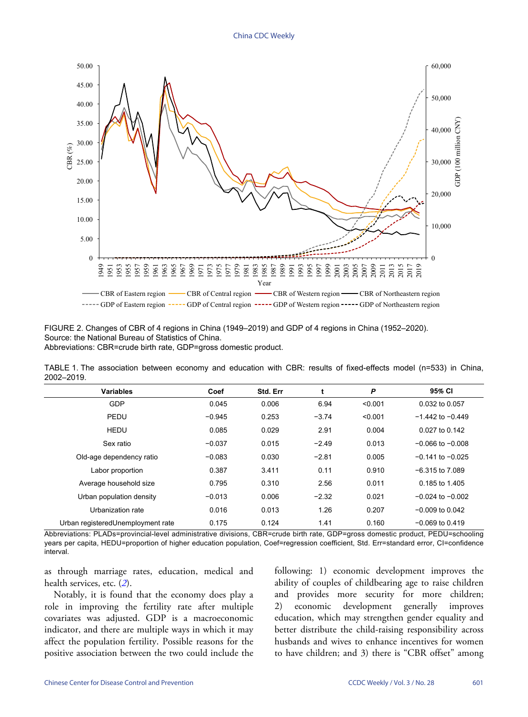<span id="page-2-0"></span>

FIGURE 2. Changes of CBR of 4 regions in China (1949–2019) and GDP of 4 regions in China (1952–2020). Source: the National Bureau of Statistics of China. Abbreviations: CBR=crude birth rate, GDP=gross domestic product.

<span id="page-2-1"></span>TABLE 1. The association between economy and education with CBR: results of fixed-effects model (n=533) in China, 2002–2019.

| <b>Variables</b>                   | Coef     | Std. Err | t       | P       | 95% CI               |
|------------------------------------|----------|----------|---------|---------|----------------------|
| GDP                                | 0.045    | 0.006    | 6.94    | < 0.001 | 0.032 to 0.057       |
| PEDU                               | $-0.945$ | 0.253    | $-3.74$ | < 0.001 | $-1.442$ to $-0.449$ |
| HEDU                               | 0.085    | 0.029    | 2.91    | 0.004   | 0.027 to 0.142       |
| Sex ratio                          | $-0.037$ | 0.015    | $-2.49$ | 0.013   | $-0.066$ to $-0.008$ |
| Old-age dependency ratio           | $-0.083$ | 0.030    | $-2.81$ | 0.005   | $-0.141$ to $-0.025$ |
| Labor proportion                   | 0.387    | 3.411    | 0.11    | 0.910   | $-6.315$ to $7.089$  |
| Average household size             | 0.795    | 0.310    | 2.56    | 0.011   | 0.185 to 1.405       |
| Urban population density           | $-0.013$ | 0.006    | $-2.32$ | 0.021   | $-0.024$ to $-0.002$ |
| Urbanization rate                  | 0.016    | 0.013    | 1.26    | 0.207   | $-0.009$ to 0.042    |
| Urban registered Unemployment rate | 0.175    | 0.124    | 1.41    | 0.160   | $-0.069$ to 0.419    |

Abbreviations: PLADs=provincial-level administrative divisions, CBR=crude birth rate, GDP=gross domestic product, PEDU=schooling years per capita, HEDU=proportion of higher education population, Coef=regression coefficient, Std. Err=standard error, CI=confidence interval.

as through marriage rates, education, medical and health services, etc. (*[2](#page-4-1)*).

Notably, it is found that the economy does play a role in improving the fertility rate after multiple covariates was adjusted. GDP is a macroeconomic indicator, and there are multiple ways in which it may affect the population fertility. Possible reasons for the positive association between the two could include the following: 1) economic development improves the ability of couples of childbearing age to raise children and provides more security for more children; 2) economic development generally improves education, which may strengthen gender equality and better distribute the child-raising responsibility across husbands and wives to enhance incentives for women to have children; and 3) there is "CBR offset" among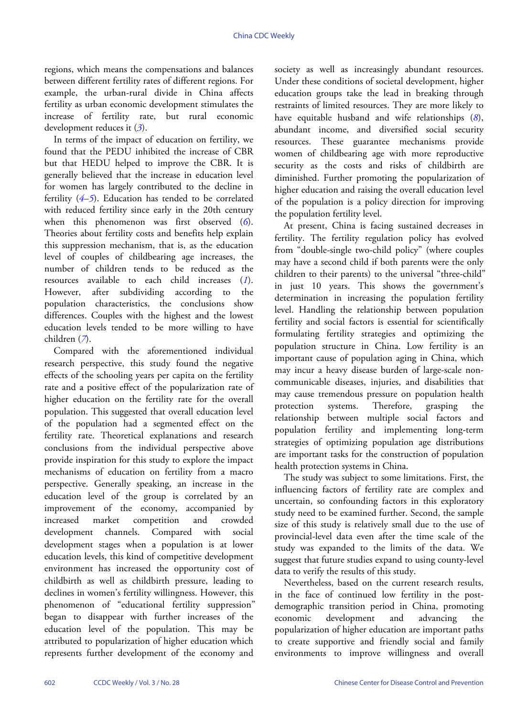regions, which means the compensations and balances between different fertility rates of different regions. For example, the urban-rural divide in China affects fertility as urban economic development stimulates the increase of fertility rate, but rural economic development reduces it (*[3](#page-4-2)*).

In terms of the impact of education on fertility, we found that the PEDU inhibited the increase of CBR but that HEDU helped to improve the CBR. It is generally believed that the increase in education level for women has largely contributed to the decline in fertility (*[4](#page-4-3)*–*[5](#page-4-4)*). Education has tended to be correlated with reduced fertility since early in the 20th century when this phenomenon was first observed (*[6](#page-4-5)*). Theories about fertility costs and benefits help explain this suppression mechanism, that is, as the education level of couples of childbearing age increases, the number of children tends to be reduced as the resources available to each child increases (*[1](#page-4-0)*). However, after subdividing according to the population characteristics, the conclusions show differences. Couples with the highest and the lowest education levels tended to be more willing to have children (*[7](#page-4-6)*).

Compared with the aforementioned individual research perspective, this study found the negative effects of the schooling years per capita on the fertility rate and a positive effect of the popularization rate of higher education on the fertility rate for the overall population. This suggested that overall education level of the population had a segmented effect on the fertility rate. Theoretical explanations and research conclusions from the individual perspective above provide inspiration for this study to explore the impact mechanisms of education on fertility from a macro perspective. Generally speaking, an increase in the education level of the group is correlated by an improvement of the economy, accompanied by increased market competition and crowded development channels. Compared with social development stages when a population is at lower education levels, this kind of competitive development environment has increased the opportunity cost of childbirth as well as childbirth pressure, leading to declines in women's fertility willingness. However, this phenomenon of "educational fertility suppression" began to disappear with further increases of the education level of the population. This may be attributed to popularization of higher education which represents further development of the economy and society as well as increasingly abundant resources. Under these conditions of societal development, higher education groups take the lead in breaking through restraints of limited resources. They are more likely to have equitable husband and wife relationships (*[8](#page-4-7)*), abundant income, and diversified social security resources. These guarantee mechanisms provide women of childbearing age with more reproductive security as the costs and risks of childbirth are diminished. Further promoting the popularization of higher education and raising the overall education level of the population is a policy direction for improving the population fertility level.

At present, China is facing sustained decreases in fertility. The fertility regulation policy has evolved from "double-single two-child policy" (where couples may have a second child if both parents were the only children to their parents) to the universal "three-child" in just 10 years. This shows the government's determination in increasing the population fertility level. Handling the relationship between population fertility and social factors is essential for scientifically formulating fertility strategies and optimizing the population structure in China. Low fertility is an important cause of population aging in China, which may incur a heavy disease burden of large-scale noncommunicable diseases, injuries, and disabilities that may cause tremendous pressure on population health protection systems. Therefore, grasping the relationship between multiple social factors and population fertility and implementing long-term strategies of optimizing population age distributions are important tasks for the construction of population health protection systems in China.

The study was subject to some limitations. First, the influencing factors of fertility rate are complex and uncertain, so confounding factors in this exploratory study need to be examined further. Second, the sample size of this study is relatively small due to the use of provincial-level data even after the time scale of the study was expanded to the limits of the data. We suggest that future studies expand to using county-level data to verify the results of this study.

Nevertheless, based on the current research results, in the face of continued low fertility in the postdemographic transition period in China, promoting economic development and advancing the popularization of higher education are important paths to create supportive and friendly social and family environments to improve willingness and overall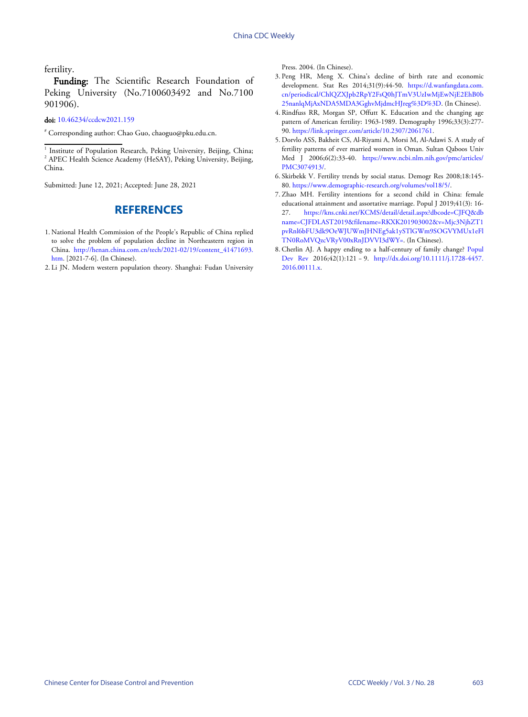fertility.

Funding: The Scientific Research Foundation of Peking University (No.7100603492 and No.7100 901906).

doi: [10.46234/ccdcw2021.159](https://doi.org/10.46234/ccdcw2021.159)

# Corresponding author: Chao Guo, chaoguo@pku.edu.cn.

<sup>1</sup> Institute of Population Research, Peking University, Beijing, China; <sup>2</sup> APEC Health Science Academy (HeSAY), Peking University, Beijing, China.

Submitted: June 12, 2021; Accepted: June 28, 2021

## **REFERENCES**

- <span id="page-4-0"></span>National Health Commission of the People's Republic of China replied 1. to solve the problem of population decline in Northeastern region in China. [http://henan.china.com.cn/tech/2021-02/19/content\\_41471693.](http://henan.china.com.cn/tech/2021-02/19/content_41471693.htm) [htm.](http://henan.china.com.cn/tech/2021-02/19/content_41471693.htm) [2021-7-6]. (In Chinese).
- <span id="page-4-1"></span>2. Li JN. Modern western population theory. Shanghai: Fudan University

<span id="page-4-2"></span>Press. 2004. (In Chinese).

- 3. Peng HR, Meng X. China's decline of birth rate and economic development. Stat Res 2014;31(9):44-50. [https://d.wanfangdata.com.](https://d.wanfangdata.com.cn/periodical/ChlQZXJpb2RpY2FsQ0hJTmV3UzIwMjEwNjE2EhB0b25nanlqMjAxNDA5MDA3GghvMjdmcHJreg%3D%3D) [cn/periodical/ChlQZXJpb2RpY2FsQ0hJTmV3UzIwMjEwNjE2EhB0b](https://d.wanfangdata.com.cn/periodical/ChlQZXJpb2RpY2FsQ0hJTmV3UzIwMjEwNjE2EhB0b25nanlqMjAxNDA5MDA3GghvMjdmcHJreg%3D%3D) [25nanlqMjAxNDA5MDA3GghvMjdmcHJreg](https://d.wanfangdata.com.cn/periodical/ChlQZXJpb2RpY2FsQ0hJTmV3UzIwMjEwNjE2EhB0b25nanlqMjAxNDA5MDA3GghvMjdmcHJreg%3D%3D)%[3D](https://d.wanfangdata.com.cn/periodical/ChlQZXJpb2RpY2FsQ0hJTmV3UzIwMjEwNjE2EhB0b25nanlqMjAxNDA5MDA3GghvMjdmcHJreg%3D%3D)%[3D](https://d.wanfangdata.com.cn/periodical/ChlQZXJpb2RpY2FsQ0hJTmV3UzIwMjEwNjE2EhB0b25nanlqMjAxNDA5MDA3GghvMjdmcHJreg%3D%3D). (In Chinese).
- <span id="page-4-3"></span>4. [Rindfuss RR, Morgan SP, Offutt K. Educati](https://d.wanfangdata.com.cn/periodical/ChlQZXJpb2RpY2FsQ0hJTmV3UzIwMjEwNjE2EhB0b25nanlqMjAxNDA5MDA3GghvMjdmcHJreg%3D%3D)o[n an](https://d.wanfangdata.com.cn/periodical/ChlQZXJpb2RpY2FsQ0hJTmV3UzIwMjEwNjE2EhB0b25nanlqMjAxNDA5MDA3GghvMjdmcHJreg%3D%3D)d [the](https://d.wanfangdata.com.cn/periodical/ChlQZXJpb2RpY2FsQ0hJTmV3UzIwMjEwNjE2EhB0b25nanlqMjAxNDA5MDA3GghvMjdmcHJreg%3D%3D) changing age pattern of American fertility: 1963-1989. Demography 1996;33(3):277- 90. <https://link.springer.com/article/10.2307/2061761>.
- <span id="page-4-4"></span>5. Do[rvlo ASS, Bakheit CS, Al-Riyami A, Morsi M, Al-A](https://link.springer.com/article/10.2307/2061761)dawi S. A study of fertility patterns of ever married women in Oman. Sultan Qaboos Univ Med J 2006;6(2):33-40. [https://www.ncbi.nlm.nih.gov/pmc/articles/](https://www.ncbi.nlm.nih.gov/pmc/articles/PMC3074913/) [PMC3074913/](https://www.ncbi.nlm.nih.gov/pmc/articles/PMC3074913/).
- <span id="page-4-5"></span>6. Ski[rbekk V. Fertility trends by social status. Demogr Res 20](https://www.demographic-research.org/volumes/vol18/5/)08;18:145-80. <https://www.demographic-research.org/volumes/vol18/5/>.
- <span id="page-4-6"></span>Zhao MH. Fertility intentions for a second child in China: female 7. educati[onal attainment and assortative marriage. Popul J 2019;41\(3\): 16-](https://kns.cnki.net/KCMS/detail/detail.aspx?dbcode=CJFQ&dbname=CJFDLAST2019&filename=RKXK201903002&v=Mjc3NjhZT1pvRnl6bFU3dk9OeWJUWmJHNEg5ak1ySTlGWm9SOGVYMUx1eFlTN0RoMVQzcVRyV00xRnJDVVI3dWY=) 27. [https://kns.cnki.net/KCMS/detail/detail.aspx?dbcode=CJFQ&db](https://kns.cnki.net/KCMS/detail/detail.aspx?dbcode=CJFQ&dbname=CJFDLAST2019&filename=RKXK201903002&v=Mjc3NjhZT1pvRnl6bFU3dk9OeWJUWmJHNEg5ak1ySTlGWm9SOGVYMUx1eFlTN0RoMVQzcVRyV00xRnJDVVI3dWY=) [name=CJFDLAST2019&filename=RKXK201903002&v=Mjc3NjhZT1](https://kns.cnki.net/KCMS/detail/detail.aspx?dbcode=CJFQ&dbname=CJFDLAST2019&filename=RKXK201903002&v=Mjc3NjhZT1pvRnl6bFU3dk9OeWJUWmJHNEg5ak1ySTlGWm9SOGVYMUx1eFlTN0RoMVQzcVRyV00xRnJDVVI3dWY=) [pvRnl6bFU3dk9OeWJUWmJHNEg5ak1ySTlGWm9SOGVYMUx1eFl](https://kns.cnki.net/KCMS/detail/detail.aspx?dbcode=CJFQ&dbname=CJFDLAST2019&filename=RKXK201903002&v=Mjc3NjhZT1pvRnl6bFU3dk9OeWJUWmJHNEg5ak1ySTlGWm9SOGVYMUx1eFlTN0RoMVQzcVRyV00xRnJDVVI3dWY=) [TN0RoMVQzcVRyV00xRnJDVVI3dWY=.](https://kns.cnki.net/KCMS/detail/detail.aspx?dbcode=CJFQ&dbname=CJFDLAST2019&filename=RKXK201903002&v=Mjc3NjhZT1pvRnl6bFU3dk9OeWJUWmJHNEg5ak1ySTlGWm9SOGVYMUx1eFlTN0RoMVQzcVRyV00xRnJDVVI3dWY=) (In Chinese).
- <span id="page-4-7"></span>8. [Cherlin](https://doi.org/10.1111/j.1728-4457.2016.00111.x) AJ. A happy ending to [a half-century of family change?](https://doi.org/10.1111/j.1728-4457.2016.00111.x) [Popul](https://doi.org/10.1111/j.1728-4457.2016.00111.x) [Dev Rev](https://doi.org/10.1111/j.1728-4457.2016.00111.x) 2016;42(1):121 − 9. [http://dx.doi.org/10.1111/j.1728-4457.](https://doi.org/10.1111/j.1728-4457.2016.00111.x) [2016.00111.x](https://doi.org/10.1111/j.1728-4457.2016.00111.x).